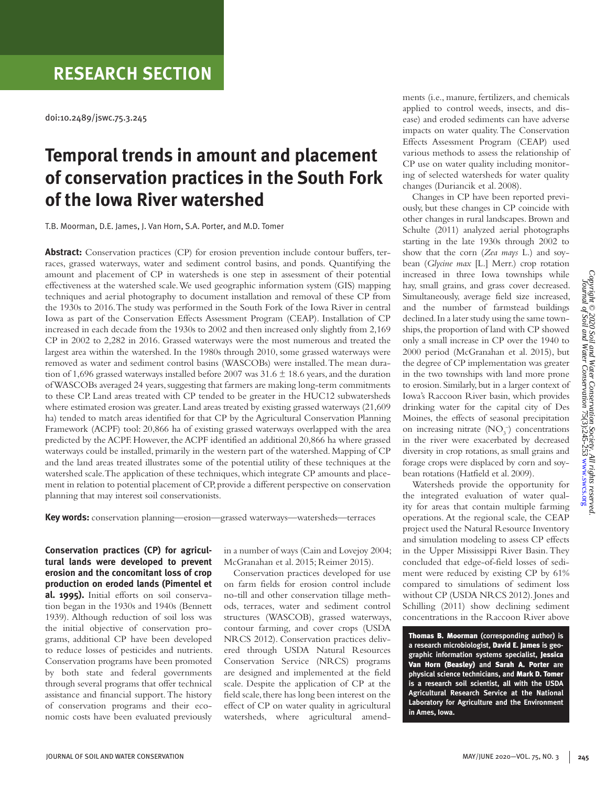## **RESEARCH SECTION**

doi:10.2489/jswc.75.3.245

# **Temporal trends in amount and placement of conservation practices in the South Fork of the Iowa River watershed**

T.B. Moorman, D.E. James, J. Van Horn, S.A. Porter, and M.D. Tomer

**Abstract:** Conservation practices (CP) for erosion prevention include contour buffers, terraces, grassed waterways, water and sediment control basins, and ponds. Quantifying the amount and placement of CP in watersheds is one step in assessment of their potential effectiveness at the watershed scale. We used geographic information system (GIS) mapping techniques and aerial photography to document installation and removal of these CP from the 1930s to 2016. The study was performed in the South Fork of the Iowa River in central Iowa as part of the Conservation Effects Assessment Program (CEAP). Installation of CP increased in each decade from the 1930s to 2002 and then increased only slightly from 2,169 CP in 2002 to 2,282 in 2016. Grassed waterways were the most numerous and treated the largest area within the watershed. In the 1980s through 2010, some grassed waterways were removed as water and sediment control basins (WASCOBs) were installed. The mean duration of 1,696 grassed waterways installed before 2007 was  $31.6 \pm 18.6$  years, and the duration of WASCOBs averaged 24 years, suggesting that farmers are making long-term commitments to these CP. Land areas treated with CP tended to be greater in the HUC12 subwatersheds where estimated erosion was greater. Land areas treated by existing grassed waterways (21,609 ha) tended to match areas identified for that CP by the Agricultural Conservation Planning Framework (ACPF) tool: 20,866 ha of existing grassed waterways overlapped with the area predicted by the ACPF. However, the ACPF identified an additional 20,866 ha where grassed waterways could be installed, primarily in the western part of the watershed. Mapping of CP and the land areas treated illustrates some of the potential utility of these techniques at the watershed scale. The application of these techniques, which integrate CP amounts and placement in relation to potential placement of CP, provide a different perspective on conservation planning that may interest soil conservationists.

**Key words:** conservation planning—erosion—grassed waterways—watersheds—terraces

**Conservation practices (CP) for agricultural lands were developed to prevent erosion and the concomitant loss of crop production on eroded lands (Pimentel et al. 1995).** Initial efforts on soil conservation began in the 1930s and 1940s (Bennett 1939). Although reduction of soil loss was the initial objective of conservation programs, additional CP have been developed to reduce losses of pesticides and nutrients. Conservation programs have been promoted by both state and federal governments through several programs that offer technical assistance and financial support. The history of conservation programs and their economic costs have been evaluated previously

in a number of ways (Cain and Lovejoy 2004; McGranahan et al. 2015; Reimer 2015).

Conservation practices developed for use on farm fields for erosion control include no-till and other conservation tillage methods, terraces, water and sediment control structures (WASCOB), grassed waterways, contour farming, and cover crops (USDA NRCS 2012). Conservation practices delivered through USDA Natural Resources Conservation Service (NRCS) programs are designed and implemented at the field scale. Despite the application of CP at the field scale, there has long been interest on the effect of CP on water quality in agricultural watersheds, where agricultural amendments (i.e., manure, fertilizers, and chemicals applied to control weeds, insects, and disease) and eroded sediments can have adverse impacts on water quality. The Conservation Effects Assessment Program (CEAP) used various methods to assess the relationship of CP use on water quality including monitoring of selected watersheds for water quality changes (Duriancik et al. 2008).

Changes in CP have been reported previously, but these changes in CP coincide with other changes in rural landscapes. Brown and Schulte (2011) analyzed aerial photographs starting in the late 1930s through 2002 to show that the corn (*Zea mays* L.) and soybean (*Glycine max* [L.] Merr.) crop rotation increased in three Iowa townships while hay, small grains, and grass cover decreased. Simultaneously, average field size increased, and the number of farmstead buildings declined. In a later study using the same townships, the proportion of land with CP showed only a small increase in CP over the 1940 to 2000 period (McGranahan et al. 2015), but the degree of CP implementation was greater in the two townships with land more prone to erosion. Similarly, but in a larger context of Iowa's Raccoon River basin, which provides drinking water for the capital city of Des Moines, the effects of seasonal precipitation on increasing nitrate  $(NO<sub>3</sub><sup>-</sup>)$  concentrations in the river were exacerbated by decreased diversity in crop rotations, as small grains and forage crops were displaced by corn and soybean rotations (Hatfield et al. 2009).

Watersheds provide the opportunity for the integrated evaluation of water quality for areas that contain multiple farming operations. At the regional scale, the CEAP project used the Natural Resource Inventory and simulation modeling to assess CP effects in the Upper Mississippi River Basin. They concluded that edge-of-field losses of sediment were reduced by existing CP by 61% compared to simulations of sediment loss without CP (USDA NRCS 2012). Jones and Schilling (2011) show declining sediment concentrations in the Raccoon River above

Thomas B. Moorman **(corresponding author) is a research microbiologist,** David E. James **is geographic information systems specialist,** Jessica Van Horn (Beasley) **and** Sarah A. Porter **are physical science technicians, and** Mark D. Tomer **is a research soil scientist, all with the USDA Agricultural Research Service at the National Laboratory for Agriculture and the Environment in Ames, Iowa.**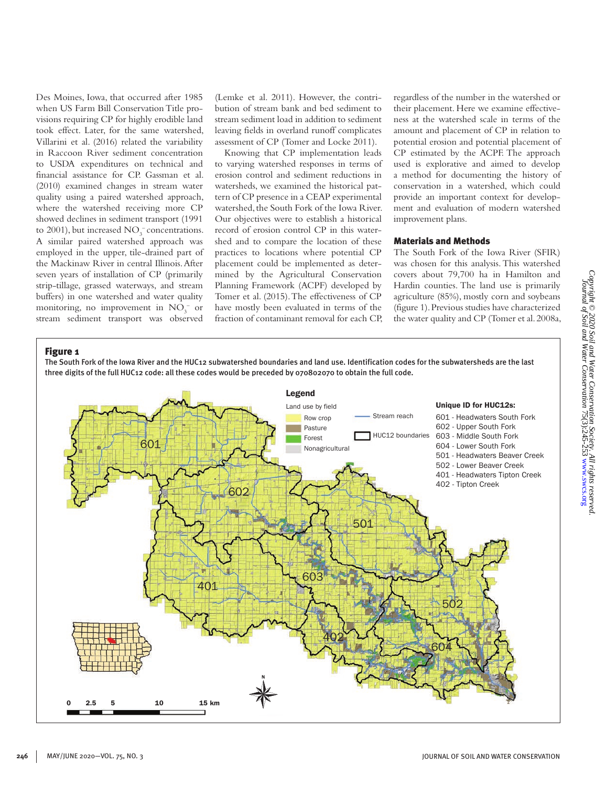Des Moines, Iowa, that occurred after 1985 when US Farm Bill Conservation Title provisions requiring CP for highly erodible land took effect. Later, for the same watershed, Villarini et al. (2016) related the variability in Raccoon River sediment concentration to USDA expenditures on technical and financial assistance for CP. Gassman et al. (2010) examined changes in stream water quality using a paired watershed approach, where the watershed receiving more CP showed declines in sediment transport (1991 to 2001), but increased  $NO_3^-$  concentrations. A similar paired watershed approach was employed in the upper, tile-drained part of the Mackinaw River in central Illinois. After seven years of installation of CP (primarily strip-tillage, grassed waterways, and stream buffers) in one watershed and water quality monitoring, no improvement in  $NO_3^-$  or stream sediment transport was observed

(Lemke et al. 2011). However, the contribution of stream bank and bed sediment to stream sediment load in addition to sediment leaving fields in overland runoff complicates assessment of CP (Tomer and Locke 2011).

Knowing that CP implementation leads to varying watershed responses in terms of erosion control and sediment reductions in watersheds, we examined the historical pattern of CP presence in a CEAP experimental watershed, the South Fork of the Iowa River. Our objectives were to establish a historical record of erosion control CP in this watershed and to compare the location of these practices to locations where potential CP placement could be implemented as determined by the Agricultural Conservation Planning Framework (ACPF) developed by Tomer et al. (2015). The effectiveness of CP have mostly been evaluated in terms of the fraction of contaminant removal for each CP, regardless of the number in the watershed or their placement. Here we examine effectiveness at the watershed scale in terms of the amount and placement of CP in relation to potential erosion and potential placement of CP estimated by the ACPF. The approach used is explorative and aimed to develop a method for documenting the history of conservation in a watershed, which could provide an important context for development and evaluation of modern watershed improvement plans.

#### Materials and Methods

The South Fork of the Iowa River (SFIR) was chosen for this analysis. This watershed covers about 79,700 ha in Hamilton and Hardin counties. The land use is primarily agriculture (85%), mostly corn and soybeans (figure 1). Previous studies have characterized the water quality and CP (Tomer et al. 2008a,

#### Figure 1

The South Fork of the Iowa River and the HUC12 subwatershed boundaries and land use. Identification codes for the subwatersheds are the last three digits of the full HUC12 code: all these codes would be preceded by 070802070 to obtain the full code.

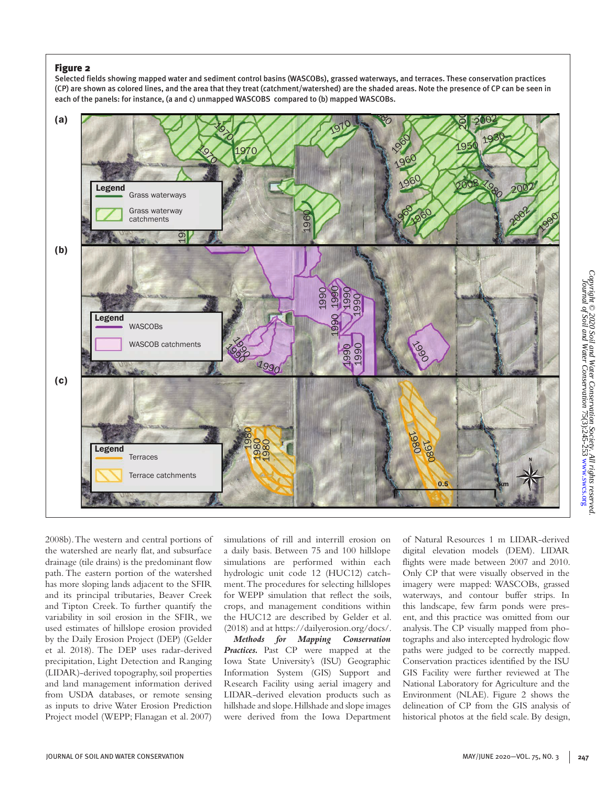#### Figure 2

Selected fields showing mapped water and sediment control basins (WASCOBs), grassed waterways, and terraces. These conservation practices (CP) are shown as colored lines, and the area that they treat (catchment/watershed) are the shaded areas. Note the presence of CP can be seen in each of the panels: for instance, (a and c) unmapped WASCOBS compared to (b) mapped WASCOBs.



2008b). The western and central portions of the watershed are nearly flat, and subsurface drainage (tile drains) is the predominant flow path. The eastern portion of the watershed has more sloping lands adjacent to the SFIR and its principal tributaries, Beaver Creek and Tipton Creek. To further quantify the variability in soil erosion in the SFIR, we used estimates of hillslope erosion provided by the Daily Erosion Project (DEP) (Gelder et al. 2018). The DEP uses radar-derived precipitation, Light Detection and Ranging (LIDAR)-derived topography, soil properties and land management information derived from USDA databases, or remote sensing as inputs to drive Water Erosion Prediction Project model (WEPP; Flanagan et al. 2007)

simulations of rill and interrill erosion on a daily basis. Between 75 and 100 hillslope simulations are performed within each hydrologic unit code 12 (HUC12) catchment. The procedures for selecting hillslopes for WEPP simulation that reflect the soils, crops, and management conditions within the HUC12 are described by Gelder et al. (2018) and at https://dailyerosion.org/docs/.

*Methods for Mapping Conservation Practices.* Past CP were mapped at the Iowa State University's (ISU) Geographic Information System (GIS) Support and Research Facility using aerial imagery and LIDAR-derived elevation products such as hillshade and slope. Hillshade and slope images were derived from the Iowa Department of Natural Resources 1 m LIDAR-derived digital elevation models (DEM). LIDAR flights were made between 2007 and 2010. Only CP that were visually observed in the imagery were mapped: WASCOBs, grassed waterways, and contour buffer strips. In this landscape, few farm ponds were present, and this practice was omitted from our analysis. The CP visually mapped from photographs and also intercepted hydrologic flow paths were judged to be correctly mapped. Conservation practices identified by the ISU GIS Facility were further reviewed at The National Laboratory for Agriculture and the Environment (NLAE). Figure 2 shows the delineation of CP from the GIS analysis of historical photos at the field scale. By design,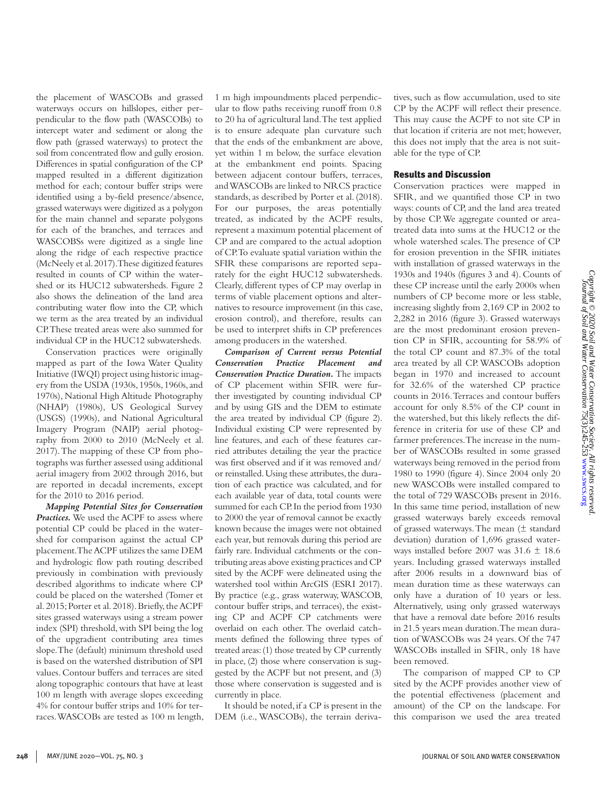Copyright © 2020 Soil and Water Conservation Society. All rights reserved<br>Copyright © 2020 Soil and Water Conservation 75(3):245-253 www.swcs.org *Copyright © 2020 Soil and Water Conservation Society. All rights reserved.* Journal of Soil and Water Conservation 75(3):245-253 [www.swcs.org](http://www.swcs.org)

the placement of WASCOBs and grassed waterways occurs on hillslopes, either perpendicular to the flow path (WASCOBs) to intercept water and sediment or along the flow path (grassed waterways) to protect the soil from concentrated flow and gully erosion. Differences in spatial configuration of the CP mapped resulted in a different digitization method for each; contour buffer strips were identified using a by-field presence/absence, grassed waterways were digitized as a polygon for the main channel and separate polygons for each of the branches, and terraces and WASCOBSs were digitized as a single line along the ridge of each respective practice (McNeely et al. 2017). These digitized features resulted in counts of CP within the watershed or its HUC12 subwatersheds. Figure 2 also shows the delineation of the land area contributing water flow into the CP, which we term as the area treated by an individual CP. These treated areas were also summed for individual CP in the HUC12 subwatersheds.

Conservation practices were originally mapped as part of the Iowa Water Quality Initiative (IWQI) project using historic imagery from the USDA (1930s, 1950s, 1960s, and 1970s), National High Altitude Photography (NHAP) (1980s), US Geological Survey (USGS) (1990s), and National Agricultural Imagery Program (NAIP) aerial photography from 2000 to 2010 (McNeely et al. 2017). The mapping of these CP from photographs was further assessed using additional aerial imagery from 2002 through 2016, but are reported in decadal increments, except for the 2010 to 2016 period.

*Mapping Potential Sites for Conservation Practices.* We used the ACPF to assess where potential CP could be placed in the watershed for comparison against the actual CP placement. The ACPF utilizes the same DEM and hydrologic flow path routing described previously in combination with previously described algorithms to indicate where CP could be placed on the watershed (Tomer et al. 2015; Porter et al. 2018). Briefly, the ACPF sites grassed waterways using a stream power index (SPI) threshold, with SPI being the log of the upgradient contributing area times slope. The (default) minimum threshold used is based on the watershed distribution of SPI values. Contour buffers and terraces are sited along topographic contours that have at least 100 m length with average slopes exceeding 4% for contour buffer strips and 10% for terraces. WASCOBs are tested as 100 m length, 1 m high impoundments placed perpendicular to flow paths receiving runoff from 0.8 to 20 ha of agricultural land. The test applied is to ensure adequate plan curvature such that the ends of the embankment are above, yet within 1 m below, the surface elevation at the embankment end points. Spacing between adjacent contour buffers, terraces, and WASCOBs are linked to NRCS practice standards, as described by Porter et al. (2018). For our purposes, the areas potentially treated, as indicated by the ACPF results, represent a maximum potential placement of CP and are compared to the actual adoption of CP. To evaluate spatial variation within the SFIR these comparisons are reported separately for the eight HUC12 subwatersheds. Clearly, different types of CP may overlap in terms of viable placement options and alternatives to resource improvement (in this case, erosion control), and therefore, results can be used to interpret shifts in CP preferences among producers in the watershed.

*Comparison of Current versus Potential Conservation Practice Placement and Conservation Practice Duration.* The impacts of CP placement within SFIR were further investigated by counting individual CP and by using GIS and the DEM to estimate the area treated by individual CP (figure 2). Individual existing CP were represented by line features, and each of these features carried attributes detailing the year the practice was first observed and if it was removed and/ or reinstalled. Using these attributes, the duration of each practice was calculated, and for each available year of data, total counts were summed for each CP. In the period from 1930 to 2000 the year of removal cannot be exactly known because the images were not obtained each year, but removals during this period are fairly rare. Individual catchments or the contributing areas above existing practices and CP sited by the ACPF were delineated using the watershed tool within ArcGIS (ESRI 2017). By practice (e.g., grass waterway, WASCOB, contour buffer strips, and terraces), the existing CP and ACPF CP catchments were overlaid on each other. The overlaid catchments defined the following three types of treated areas: (1) those treated by CP currently in place, (2) those where conservation is suggested by the ACPF but not present, and (3) those where conservation is suggested and is currently in place.

It should be noted, if a CP is present in the DEM (i.e., WASCOBs), the terrain derivatives, such as flow accumulation, used to site CP by the ACPF will reflect their presence. This may cause the ACPF to not site CP in that location if criteria are not met; however, this does not imply that the area is not suitable for the type of CP.

#### Results and Discussion

Conservation practices were mapped in SFIR, and we quantified those CP in two ways: counts of CP, and the land area treated by those CP. We aggregate counted or areatreated data into sums at the HUC12 or the whole watershed scales. The presence of CP for erosion prevention in the SFIR initiates with installation of grassed waterways in the 1930s and 1940s (figures 3 and 4). Counts of these CP increase until the early 2000s when numbers of CP become more or less stable, increasing slightly from 2,169 CP in 2002 to 2,282 in 2016 (figure 3). Grassed waterways are the most predominant erosion prevention CP in SFIR, accounting for 58.9% of the total CP count and 87.3% of the total area treated by all CP. WASCOBs adoption began in 1970 and increased to account for 32.6% of the watershed CP practice counts in 2016. Terraces and contour buffers account for only 8.5% of the CP count in the watershed, but this likely reflects the difference in criteria for use of these CP and farmer preferences. The increase in the number of WASCOBs resulted in some grassed waterways being removed in the period from 1980 to 1990 (figure 4). Since 2004 only 20 new WASCOBs were installed compared to the total of 729 WASCOBs present in 2016. In this same time period, installation of new grassed waterways barely exceeds removal of grassed waterways. The mean  $(\pm$  standard deviation) duration of 1,696 grassed waterways installed before 2007 was 31.6 ± 18.6 years. Including grassed waterways installed after 2006 results in a downward bias of mean duration time as these waterways can only have a duration of 10 years or less. Alternatively, using only grassed waterways that have a removal date before 2016 results in 21.5 years mean duration. The mean duration of WASCOBs was 24 years. Of the 747 WASCOBs installed in SFIR, only 18 have been removed.

The comparison of mapped CP to CP sited by the ACPF provides another view of the potential effectiveness (placement and amount) of the CP on the landscape. For this comparison we used the area treated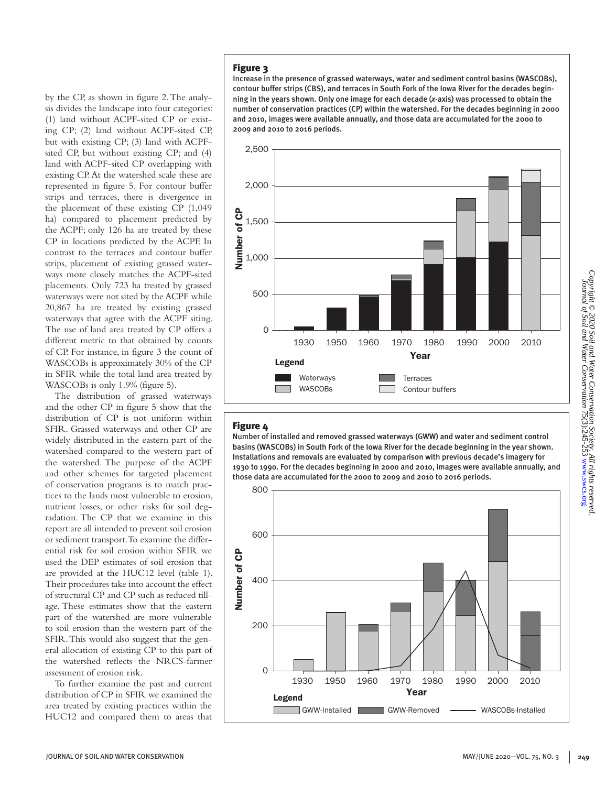by the CP, as shown in figure 2. The analysis divides the landscape into four categories: (1) land without ACPF-sited CP or existing CP; (2) land without ACPF-sited CP, but with existing CP; (3) land with ACPFsited CP, but without existing CP; and (4) land with ACPF-sited CP overlapping with existing CP. At the watershed scale these are represented in figure 5. For contour buffer strips and terraces, there is divergence in the placement of these existing CP (1,049 ha) compared to placement predicted by the ACPF; only 126 ha are treated by these CP in locations predicted by the ACPF. In contrast to the terraces and contour buffer strips, placement of existing grassed waterways more closely matches the ACPF-sited placements. Only 723 ha treated by grassed waterways were not sited by the ACPF while 20,867 ha are treated by existing grassed waterways that agree with the ACPF siting. The use of land area treated by CP offers a different metric to that obtained by counts of CP. For instance, in figure 3 the count of WASCOBs is approximately 30% of the CP in SFIR while the total land area treated by WASCOBs is only 1.9% (figure 5).

The distribution of grassed waterways and the other CP in figure 5 show that the distribution of CP is not uniform within SFIR. Grassed waterways and other CP are widely distributed in the eastern part of the watershed compared to the western part of the watershed. The purpose of the ACPF and other schemes for targeted placement of conservation programs is to match practices to the lands most vulnerable to erosion, nutrient losses, or other risks for soil degradation. The CP that we examine in this report are all intended to prevent soil erosion or sediment transport. To examine the differential risk for soil erosion within SFIR we used the DEP estimates of soil erosion that are provided at the HUC12 level (table 1). Their procedures take into account the effect of structural CP and CP such as reduced tillage. These estimates show that the eastern part of the watershed are more vulnerable to soil erosion than the western part of the SFIR. This would also suggest that the general allocation of existing CP to this part of the watershed reflects the NRCS-farmer assessment of erosion risk.

To further examine the past and current distribution of CP in SFIR we examined the area treated by existing practices within the HUC12 and compared them to areas that

## Figure 3

Increase in the presence of grassed waterways, water and sediment control basins (WASCOBs), contour buffer strips (CBS), and terraces in South Fork of the Iowa River for the decades beginning in the years shown. Only one image for each decade (*x*-axis) was processed to obtain the number of conservation practices (CP) within the watershed. For the decades beginning in 2000 and 2010, images were available annually, and those data are accumulated for the 2000 to 2009 and 2010 to 2016 periods.



#### Figure 4

Number of installed and removed grassed waterways (GWW) and water and sediment control basins (WASCOBs) in South Fork of the Iowa River for the decade beginning in the year shown. Installations and removals are evaluated by comparison with previous decade's imagery for 1930 to 1990. For the decades beginning in 2000 and 2010, images were available annually, and those data are accumulated for the 2000 to 2009 and 2010 to 2016 periods.

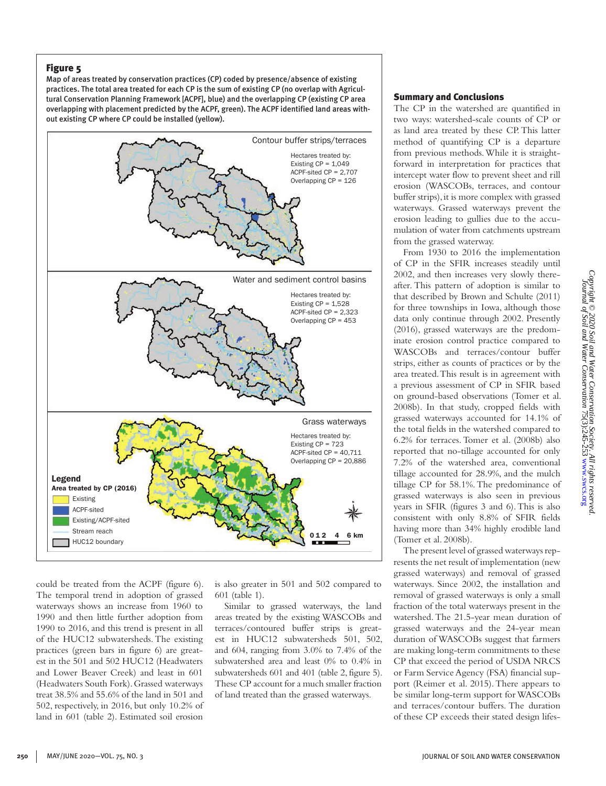#### Figure 5

Map of areas treated by conservation practices (CP) coded by presence/absence of existing practices. The total area treated for each CP is the sum of existing CP (no overlap with Agricultural Conservation Planning Framework [ACPF], blue) and the overlapping CP (existing CP area overlapping with placement predicted by the ACPF, green). The ACPF identified land areas without existing CP where CP could be installed (yellow).



could be treated from the ACPF (figure 6). The temporal trend in adoption of grassed waterways shows an increase from 1960 to 1990 and then little further adoption from 1990 to 2016, and this trend is present in all of the HUC12 subwatersheds. The existing practices (green bars in figure 6) are greatest in the 501 and 502 HUC12 (Headwaters and Lower Beaver Creek) and least in 601 (Headwaters South Fork). Grassed waterways treat 38.5% and 55.6% of the land in 501 and 502, respectively, in 2016, but only 10.2% of land in 601 (table 2). Estimated soil erosion

is also greater in 501 and 502 compared to 601 (table 1).

Similar to grassed waterways, the land areas treated by the existing WASCOBs and terraces/contoured buffer strips is greatest in HUC12 subwatersheds 501, 502, and 604, ranging from 3.0% to 7.4% of the subwatershed area and least 0% to 0.4% in subwatersheds 601 and 401 (table 2, figure 5). These CP account for a much smaller fraction of land treated than the grassed waterways.

#### Summary and Conclusions

The CP in the watershed are quantified in two ways: watershed-scale counts of CP or as land area treated by these CP. This latter method of quantifying CP is a departure from previous methods. While it is straightforward in interpretation for practices that intercept water flow to prevent sheet and rill erosion (WASCOBs, terraces, and contour buffer strips), it is more complex with grassed waterways. Grassed waterways prevent the erosion leading to gullies due to the accumulation of water from catchments upstream from the grassed waterway.

From 1930 to 2016 the implementation of CP in the SFIR increases steadily until 2002, and then increases very slowly thereafter. This pattern of adoption is similar to that described by Brown and Schulte (2011) for three townships in Iowa, although those data only continue through 2002. Presently (2016), grassed waterways are the predominate erosion control practice compared to WASCOBs and terraces/contour buffer strips, either as counts of practices or by the area treated. This result is in agreement with a previous assessment of CP in SFIR based on ground-based observations (Tomer et al. 2008b). In that study, cropped fields with grassed waterways accounted for 14.1% of the total fields in the watershed compared to 6.2% for terraces. Tomer et al. (2008b) also reported that no-tillage accounted for only 7.2% of the watershed area, conventional tillage accounted for 28.9%, and the mulch tillage CP for 58.1%. The predominance of grassed waterways is also seen in previous years in SFIR (figures 3 and 6). This is also consistent with only 8.8% of SFIR fields having more than 34% highly erodible land (Tomer et al. 2008b).

The present level of grassed waterways represents the net result of implementation (new grassed waterways) and removal of grassed waterways. Since 2002, the installation and removal of grassed waterways is only a small fraction of the total waterways present in the watershed. The 21.5-year mean duration of grassed waterways and the 24-year mean duration of WASCOBs suggest that farmers are making long-term commitments to these CP that exceed the period of USDA NRCS or Farm Service Agency (FSA) financial support (Reimer et al. 2015). There appears to be similar long-term support for WASCOBs and terraces/contour buffers. The duration of these CP exceeds their stated design lifes-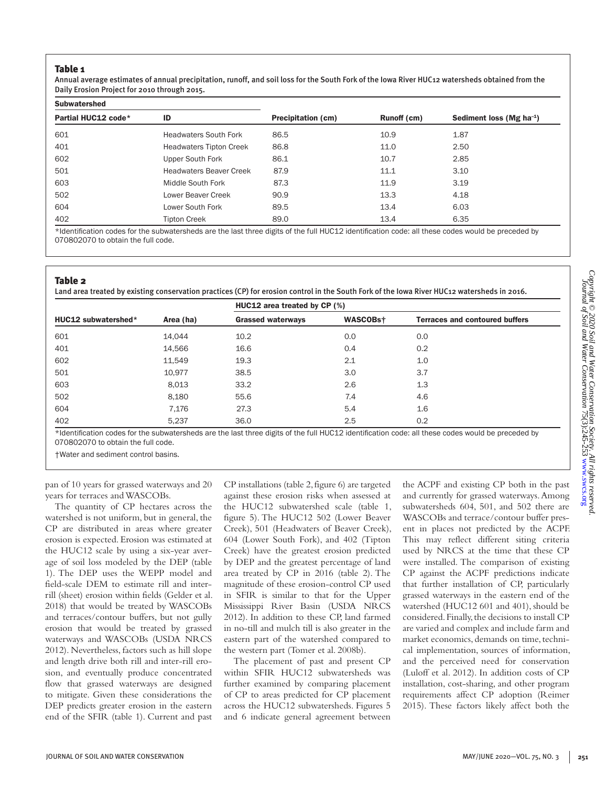#### Table 1

Annual average estimates of annual precipitation, runoff, and soil loss for the South Fork of the Iowa River HUC12 watersheds obtained from the Daily Erosion Project for 2010 through 2015.

| <b>Subwatershed</b> |                                |                           |             |                               |
|---------------------|--------------------------------|---------------------------|-------------|-------------------------------|
| Partial HUC12 code* | ID                             | <b>Precipitation (cm)</b> | Runoff (cm) | Sediment loss (Mg $ha^{-1}$ ) |
| 601                 | <b>Headwaters South Fork</b>   | 86.5                      | 10.9        | 1.87                          |
| 401                 | <b>Headwaters Tipton Creek</b> | 86.8                      | 11.0        | 2.50                          |
| 602                 | Upper South Fork               | 86.1                      | 10.7        | 2.85                          |
| 501                 | <b>Headwaters Beaver Creek</b> | 87.9                      | 11.1        | 3.10                          |
| 603                 | Middle South Fork              | 87.3                      | 11.9        | 3.19                          |
| 502                 | Lower Beaver Creek             | 90.9                      | 13.3        | 4.18                          |
| 604                 | Lower South Fork               | 89.5                      | 13.4        | 6.03                          |
| 402                 | <b>Tipton Creek</b>            | 89.0                      | 13.4        | 6.35                          |

\*Identification codes for the subwatersheds are the last three digits of the full HUC12 identification code: all these codes would be preceded by 070802070 to obtain the full code.

#### Table 2

Land area treated by existing conservation practices (CP) for erosion control in the South Fork of the Iowa River HUC12 watersheds in 2016.

|                     | Area (ha) | HUC12 area treated by CP (%) |          |                                       |  |
|---------------------|-----------|------------------------------|----------|---------------------------------------|--|
| HUC12 subwatershed* |           | <b>Grassed waterways</b>     | WASCOBst | <b>Terraces and contoured buffers</b> |  |
| 601                 | 14,044    | 10.2                         | 0.0      | 0.0                                   |  |
| 401                 | 14,566    | 16.6                         | 0.4      | 0.2                                   |  |
| 602                 | 11,549    | 19.3                         | 2.1      | 1.0                                   |  |
| 501                 | 10.977    | 38.5                         | 3.0      | 3.7                                   |  |
| 603                 | 8,013     | 33.2                         | 2.6      | 1.3                                   |  |
| 502                 | 8,180     | 55.6                         | 7.4      | 4.6                                   |  |
| 604                 | 7.176     | 27.3                         | 5.4      | 1.6                                   |  |
| 402                 | 5,237     | 36.0                         | 2.5      | 0.2                                   |  |

\*Identification codes for the subwatersheds are the last three digits of the full HUC12 identification code: all these codes would be preceded by 070802070 to obtain the full code.

†Water and sediment control basins.

pan of 10 years for grassed waterways and 20 years for terraces and WASCOBs.

The quantity of CP hectares across the watershed is not uniform, but in general, the CP are distributed in areas where greater erosion is expected. Erosion was estimated at the HUC12 scale by using a six-year average of soil loss modeled by the DEP (table 1). The DEP uses the WEPP model and field-scale DEM to estimate rill and interrill (sheet) erosion within fields (Gelder et al. 2018) that would be treated by WASCOBs and terraces/contour buffers, but not gully erosion that would be treated by grassed waterways and WASCOBs (USDA NRCS 2012). Nevertheless, factors such as hill slope and length drive both rill and inter-rill erosion, and eventually produce concentrated flow that grassed waterways are designed to mitigate. Given these considerations the DEP predicts greater erosion in the eastern end of the SFIR (table 1). Current and past

CP installations (table 2, figure 6) are targeted against these erosion risks when assessed at the HUC12 subwatershed scale (table 1, figure 5). The HUC12 502 (Lower Beaver Creek), 501 (Headwaters of Beaver Creek), 604 (Lower South Fork), and 402 (Tipton Creek) have the greatest erosion predicted by DEP and the greatest percentage of land area treated by CP in 2016 (table 2). The magnitude of these erosion-control CP used in SFIR is similar to that for the Upper Mississippi River Basin (USDA NRCS 2012). In addition to these CP, land farmed in no-till and mulch till is also greater in the eastern part of the watershed compared to the western part (Tomer et al. 2008b).

The placement of past and present CP within SFIR HUC12 subwatersheds was further examined by comparing placement of CP to areas predicted for CP placement across the HUC12 subwatersheds. Figures 5 and 6 indicate general agreement between

the ACPF and existing CP both in the past and currently for grassed waterways. Among subwatersheds 604, 501, and 502 there are WASCOBs and terrace/contour buffer present in places not predicted by the ACPF. This may reflect different siting criteria used by NRCS at the time that these CP were installed. The comparison of existing CP against the ACPF predictions indicate that further installation of CP, particularly grassed waterways in the eastern end of the watershed (HUC12 601 and 401), should be considered. Finally, the decisions to install CP are varied and complex and include farm and market economics, demands on time, technical implementation, sources of information, and the perceived need for conservation (Luloff et al. 2012). In addition costs of CP installation, cost-sharing, and other program requirements affect CP adoption (Reimer 2015). These factors likely affect both the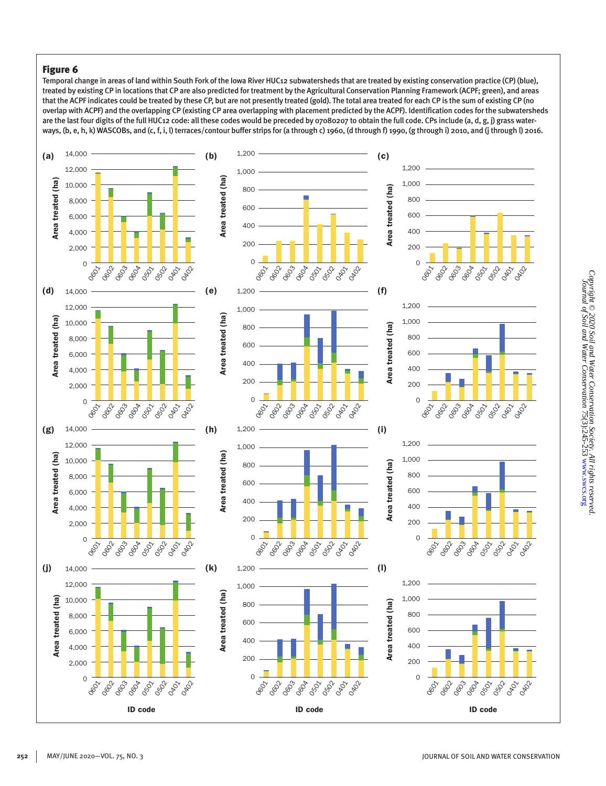## Figure 6

Temporal change in areas of land within South Fork of the Iowa River HUC12 subwatersheds that are treated by existing conservation practice (CP) (blue), treated by existing CP in locations that CP are also predicted for treatment by the Agricultural Conservation Planning Framework (ACPF; green), and areas that the ACPF indicates could be treated by these CP, but are not presently treated (gold). The total area treated for each CP is the sum of existing CP (no overlap with ACPF) and the overlapping CP (existing CP area overlapping with placement predicted by the ACPF). Identification codes for the subwatersheds are the last four digits of the full HUC12 code: all these codes would be preceded by 07080207 to obtain the full code. CPs include (a, d, g, j) grass waterways, (b, e, h, k) WASCOBs, and (c, f, i, l) terraces/contour buffer strips for (a through c) 1960, (d through f) 1990, (g through i) 2010, and (j through l) 2016.